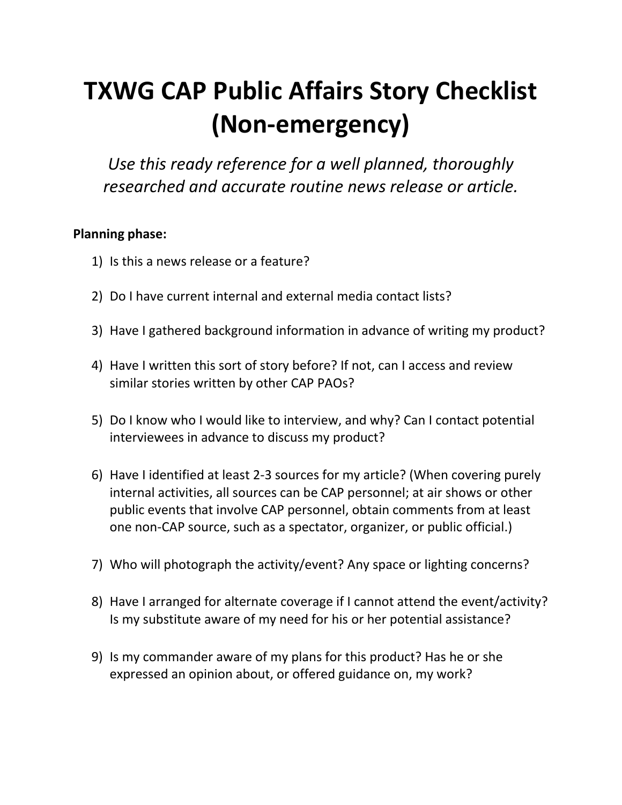## **TXWG CAP Public Affairs Story Checklist (Non-emergency)**

*Use this ready reference for a well planned, thoroughly researched and accurate routine news release or article.*

## **Planning phase:**

- 1) Is this a news release or a feature?
- 2) Do I have current internal and external media contact lists?
- 3) Have I gathered background information in advance of writing my product?
- 4) Have I written this sort of story before? If not, can I access and review similar stories written by other CAP PAOs?
- 5) Do I know who I would like to interview, and why? Can I contact potential interviewees in advance to discuss my product?
- 6) Have I identified at least 2-3 sources for my article? (When covering purely internal activities, all sources can be CAP personnel; at air shows or other public events that involve CAP personnel, obtain comments from at least one non-CAP source, such as a spectator, organizer, or public official.)
- 7) Who will photograph the activity/event? Any space or lighting concerns?
- 8) Have I arranged for alternate coverage if I cannot attend the event/activity? Is my substitute aware of my need for his or her potential assistance?
- 9) Is my commander aware of my plans for this product? Has he or she expressed an opinion about, or offered guidance on, my work?